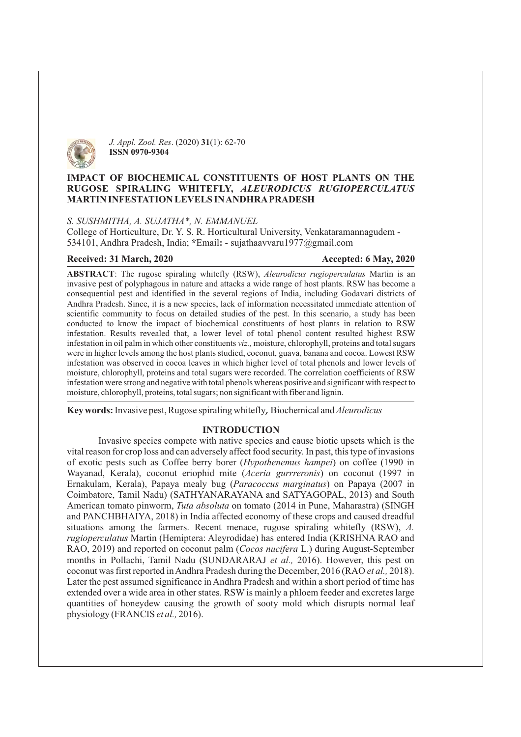

*J. Appl. Zool. Res.* (2020) 31(1): 62-70 **ISSN 0970-9304**

## **IMPACT OF BIOCHEMICAL CONSTITUENTS OF HOST PLANTS ON THE RUGOSE SPIRALING WHITEFLY,** *ALEURODICUS RUGIOPERCULATUS* **MARTIN INFESTATION LEVELS INANDHRAPRADESH**

#### *S. SUSHMITHA, A. SUJATHA\*, N. EMMANUEL*

534101, Andhra Pradesh, India; \*Email: - sujathaavvaru1977@gmail.com College of Horticulture, Dr. Y. S. R. Horticultural University, Venkataramannagudem -

#### **Received: 31 March, 2020 Accepted: 6 May, 2020**

ABSTRACT: The rugose spiraling whitefly (RSW), Aleurodicus rugioperculatus Martin is an invasive pest of polyphagous in nature and attacks a wide range of host plants. RSW has become a consequential pest and identified in the several regions of India, including Godavari districts of Andhra Pradesh. Since, it is a new species, lack of information necessitated immediate attention of scientific community to focus on detailed studies of the pest. In this scenario, a study has been conducted to know the impact of biochemical constituents of host plants in relation to RSW infestation. Results revealed that, a lower level of total phenol content resulted highest RSW infestation in oil palm in which other constituents viz., moisture, chlorophyll, proteins and total sugars were in higher levels among the host plants studied, coconut, guava, banana and cocoa. Lowest RSW infestation was observed in cocoa leaves in which higher level of total phenols and lower levels of moisture, chlorophyll, proteins and total sugars were recorded. The correlation coefficients of RSW infestation were strong and negative with total phenols whereas positive and significant with respect to moisture, chlorophyll, proteins, total sugars; non significant with fiber and lignin.

**Key words:** Invasive pest, Rugose spiraling whitefly, Biochemical and *Aleurodicus* 

#### **INTRODUCTION**

of exotic pests such as Coffee berry borer (*Hypothenemus hampei*) on coffee (1990 in Wayanad, Kerala), coconut eriophid mite (Aceria gurrreronis) on coconut (1997 in Ernakulam, Kerala), Papaya mealy bug (Paracoccus marginatus) on Papaya (2007 in American tomato pinworm, *Tuta absoluta* on tomato (2014 in Pune, Maharastra) (SINGH situations among the farmers. Recent menace, rugose spiraling whitefly (RSW), A. *rugioperculatus* Martin (Hemiptera: Aleyrodidae) has entered India (KRISHNA RAO and RAO, 2019) and reported on coconut palm (Cocos nucifera L.) during August-September months in Pollachi, Tamil Nadu (SUNDARARAJ et al., 2016). However, this pest on coconut was first reported in Andhra Pradesh during the December, 2016 (RAO et al., 2018). physiology (FRANCIS et al., 2016). Invasive species compete with native species and cause biotic upsets which is the vital reason for crop loss and can adversely affect food security. In past, this type of invasions Coimbatore, Tamil Nadu) (SATHYANARAYANA and SATYAGOPAL, 2013) and South and PANCHBHAIYA, 2018) in India affected economy of these crops and caused dreadful Later the pest assumed significance in Andhra Pradesh and within a short period of time has extended over a wide area in other states. RSW is mainly a phloem feeder and excretes large quantities of honeydew causing the growth of sooty mold which disrupts normal leaf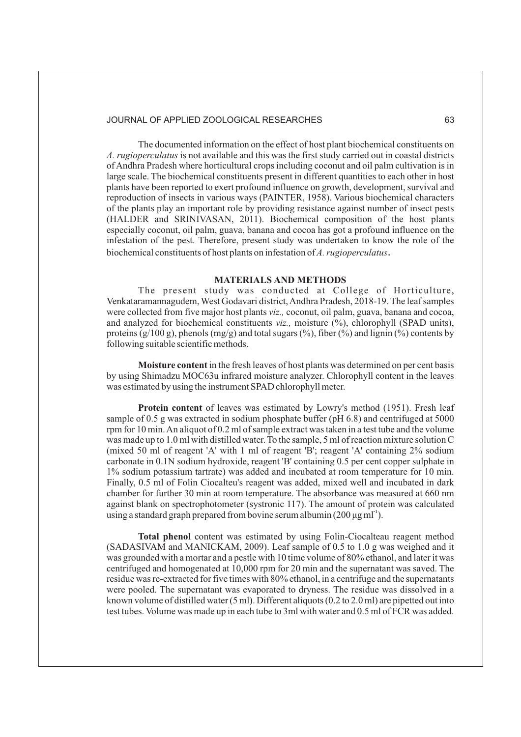The documented information on the effect of host plant biochemical constituents on A. rugioperculatus is not available and this was the first study carried out in coastal districts of Andhra Pradesh where horticultural crops including coconut and oil palm cultivation is in large scale. The biochemical constituents present in different quantities to each other in host plants have been reported to exert profound influence on growth, development, survival and reproduction of insects in various ways (PAINTER, 1958). Various biochemical characters of the plants play an important role by providing resistance against number of insect pests (HALDER and SRINIVASAN, 2011). Biochemical composition of the host plants especially coconut, oil palm, guava, banana and cocoa has got a profound influence on the infestation of the pest. Therefore, present study was undertaken to know the role of the biochemical constituents of host plants on infestation of *A. rugioperculatus* .

#### **MATERIALS AND METHODS**

The present study was conducted at College of Horticulture, Venkataramannagudem,West Godavari district,Andhra Pradesh, 2018-19. The leaf samples were collected from five major host plants viz., coconut, oil palm, guava, banana and cocoa, and analyzed for biochemical constituents viz., moisture (%), chlorophyll (SPAD units), proteins  $(g/100 \text{ g})$ , phenols  $(mg/g)$  and total sugars  $(\%)$ , fiber  $(\%)$  and lignin  $(\%)$  contents by following suitable scientific methods.

Moisture content in the fresh leaves of host plants was determined on per cent basis by using Shimadzu MOC63u infrared moisture analyzer. Chlorophyll content in the leaves was estimated by using the instrument SPAD chlorophyll meter.

Protein content of leaves was estimated by Lowry's method (1951). Fresh leaf sample of 0.5 g was extracted in sodium phosphate buffer (pH 6.8) and centrifuged at 5000 rpm for 10 min.An aliquot of 0.2 ml of sample extract was taken in a test tube and the volume was made up to 1.0 ml with distilled water. To the sample, 5 ml of reaction mixture solution C (mixed 50 ml of reagent 'A' with 1 ml of reagent 'B'; reagent 'A' containing 2% sodium carbonate in 0.1N sodium hydroxide, reagent 'B' containing 0.5 per cent copper sulphate in 1% sodium potassium tartrate) was added and incubated at room temperature for 10 min. Finally, 0.5 ml of Folin Ciocalteu's reagent was added, mixed well and incubated in dark chamber for further 30 min at room temperature. The absorbance was measured at 660 nm against blank on spectrophotometer (systroni c 117). The amount of protein was calculated using a standard graph prepared from bovine serum albumin (200  $\mu$ g ml<sup>-1</sup>).

Total phenol content was estimated by using Folin-Ciocalteau reagent method (SADASIVAM and MANICKAM, 2009). Leaf sample of 0.5 to 1.0 g was weighed and it was grounded with a mortar and a pestle with 10 time volume of 80% ethanol, and later it was centrifuged and homogenated at 10,000 rpm for 20 min and the supernatant was saved. The residue was re-extracted for five times with 80% ethanol, in a centrifuge and the supernatants were pooled. The supernatant was evaporated to dryness. The residue was dissolved in a known volume of distilled water (5 ml). Different aliquots (0.2 to 2.0 ml) are pipetted out into test tubes. Volume was made up in each tube to 3ml with water and 0.5 ml of FCR was added.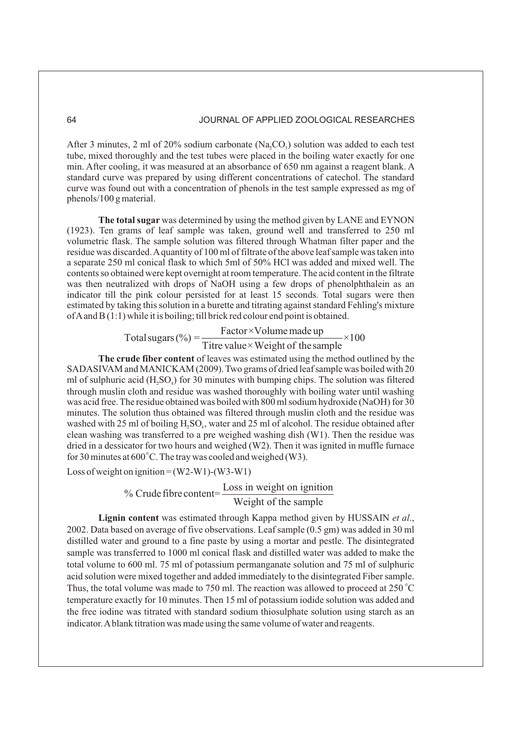After 3 minutes, 2 ml of 20% sodium carbonate  $(Na_2CO_3)$  solution was added to each test tube, mixed thoroughly and the test tubes were placed in the boiling water exactly for one min. After cooling, it was measured at an absorbance of 650 nm against a reagent blank. A standard curve was prepared by using different concentrations of catechol. The standard curve was found out with a concentration of phenols in the test sample expressed as mg of phenols/100 g material.

The total sugar was determined by using the method given by LANE and EYNON (1923). Ten grams of leaf sample was taken, ground well and transferred to 250 ml volumetric flask. The sample solution was filtered through Whatman filter paper and the residue was discarded.A quantity of 100 ml of filtrate of the above leaf sample was taken into a separate 250 ml conical flask to which 5ml of 50% HCl was added and mixed well. The contents so obtained were kept overnight at room temperature. The acid content in the filtrate was then neutralized with drops of NaOH using a few drops of phenolphthalein as an indicator till the pink colour persisted for at least 15 seconds. Total sugars were then estimated by taking this solution in a burette and titrating against standard Fehling's mixture ofAand B (1:1) while it is boiling; till brick red colour end point is obtained.

> Total sugars (%) =  $\frac{\text{Factor} \times \text{Volume made up}}{\text{Total} \times \text{Total} \times \text{Total}} \times 100$ Titre value×Weight of the sample

The crude fiber content of leaves was estimated using the method outlined by the SADASIVAM and MANICKAM (2009). Two grams of dried leaf sample was boiled with 20 ml of sulphuric acid  $(H, SO<sub>a</sub>)$  for 30 minutes with bumping chips. The solution was filtered through muslin cloth and residue was washed thoroughly with boiling water until washing was acid free. The residue obtained was boiled with 800 ml sodium hydroxide (NaOH) for 30 minutes. The solution thus obtained was filtered through muslin cloth and the residue was washed with 25 ml of boiling  $H_2SO_4$ , water and 25 ml of alcohol. The residue obtained after clean washing was transferred to a pre weighed washing dish (W1). Then the residue was dried in a dessicator for two hours and weighed (W2). Then it was ignited in muffle furnace for 30 minutes at 600 °C. The tray was cooled and weighed (W3).

Loss of weight on ignition = (W2-W1)-(W3-W1)

# % Crude fibre content= $\frac{\text{Loss in weight on } i}{\text{total time}}$

#### Weight of the sample

Lignin content was estimated through Kappa method given by HUSSAIN et al., 2002. Data based on average of five observations. Leaf sample (0.5 gm) was added in 30 ml distilled water and ground to a fine paste by using a mortar and pestle. The disintegrated sample was transferred to 1000 ml conical flask and distilled water was added to make the total volume to 600 ml. 75 ml of potassium permanganate solution and 75 ml of sulphuric acid solution were mixed together and added immediately to the disintegrated Fiber sample. Thus, the total volume was made to 750 ml. The reaction was allowed to proceed at 250  $^{\circ}$ C temperature exactly for 10 minutes. Then 15 ml of potassium iodide solution was added and the free iodine was titrated with standard sodium thiosulphate solution using starch as an indicator.Ablank titration was made using the same volume of water and reagents.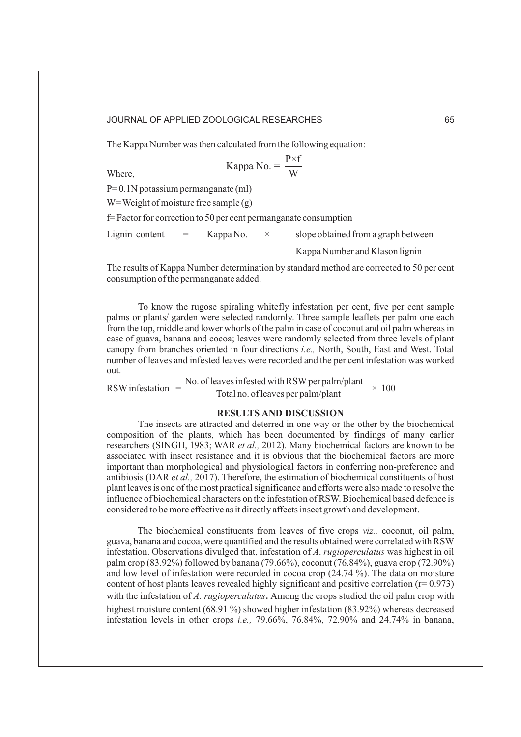The Kappa Number was then calculated from the following equation:

Kappa No. = 
$$
\frac{P \times f}{W}
$$

Where,

P= 0.1N potassium permanganate (ml)

W = Weight of moisture free sample  $(g)$ 

f= Factor for correction to 50 per cent permanganate consumption

Lignin content  $=$  Kappa No.  $\times$  slope obtained from a graph between

Kappa Number and Klason lignin

The results of Kappa Number determination by standard method are corrected to 50 per cent consumption of the permanganate added.

To know the rugose spiraling whitefly infestation per cent, five per cent sample palms or plants/ garden were selected randomly. Three sample leaflets per palm one each from the top, middle and lower whorls of the palm in case of coconut and oil palm whereas in case of guava, banana and cocoa; leaves were randomly selected from three levels of plant canopy from branches oriented in four directions *i.e.*, North, South, East and West. Total number of leaves and infested leaves were recorded and the per cent infestation was worked out.

RSW infestation  $=$  No. of leaves infested with RSW per palm/plant  $\times$  100

#### **RESULTS AND DISCUSSION**

The insects are attracted and deterred in one way or the other by the biochemical composition of the plants, which has been documented by findings of many earlier researchers (SINGH, 1983; WAR et al., 2012). Many biochemical factors are known to be associated with insect resistance and it is obvious that the biochemical factors are more important than morphological and physiological factors in conferring non-preference and antibiosis (DAR et al., 2017). Therefore, the estimation of biochemical constituents of host plant leaves is one of the most practical significance and efforts were also made to resolve the influence of biochemical characters on the infestation of RSW. Biochemical based defence is considered to be more effective as it directly affects insect growth and development.

The biochemical constituents from leaves of five crops viz., coconut, oil palm, guava, banana and cocoa, were quantified and the results obtained were correlated with RSW infestation. Observations divulged that, infestation of A. rugioperculatus was highest in oil palm crop (83.92%) followed by banana (79.66%), coconut (76.84%), guava crop (72.90%) and low level of infestation were recorded in cocoa crop (24.74 %). The data on moisture content of host plants leaves revealed highly significant and positive correlation ( $r= 0.973$ ) with the infestation of A. rugioperculatus. Among the crops studied the oil palm crop with highest moisture content (68.91 %) showed higher infestation (83.92%) whereas decreased infestation levels in other crops *i.e.*, 79.66%, 76.84%, 72.90% and 24.74% in banana,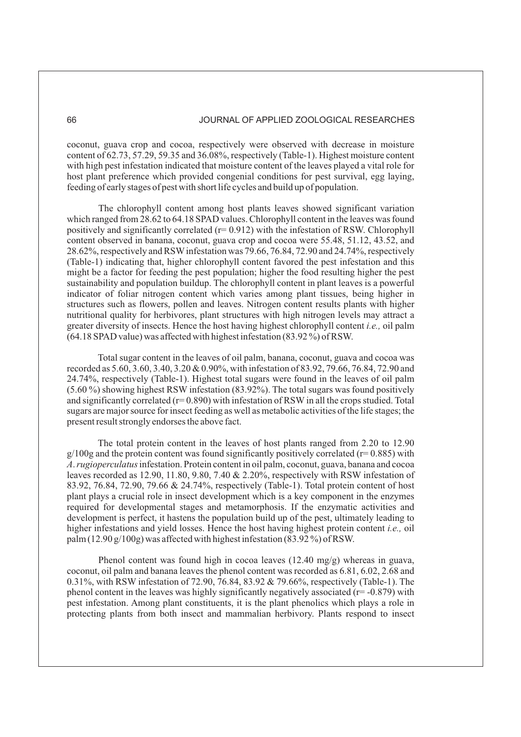coconut, guava crop and cocoa, respectively were observed with decrease in moisture content of 62.73, 57.29, 59.35 and 36.08%, respectively (Table-1). Highest moisture content with high pest infestation indicated that moisture content of the leaves played a vital role for host plant preference which provided congenial conditions for pest survival, egg laying, feeding of early stages of pest with short life cycles and build up of population.

The chlorophyll content among host plants leaves showed significant variation which ranged from 28.62 to 64.18 SPAD values. Chlorophyll content in the leaves was found positively and significantly correlated (r= 0.912) with the infestation of RSW. Chlorophyll content observed in banana, coconut, guava crop and cocoa were 55.48, 51.12, 43.52, and 28.62%, respectively and RSWinfestation was 79.66, 76.84, 72.90 and 24.74%, respectively (Table-1) indicating that, higher chlorophyll content favored the pest infestation and this might be a factor for feeding the pest population; higher the food resulting higher the pest sustainability and population buildup. The chlorophyll content in plant leaves is a powerful indicator of foliar nitrogen content which varies among plant tissues, being higher in structures such as flowers, pollen and leaves. Nitrogen content results plants with higher nutritional quality for herbivores, plant structures with high nitrogen levels may attract a greater diversity of insects. Hence the host having highest chlorophyll content *i.e.*, oil palm (64.18 SPAD value) was affected with highest infestation (83.92 %) of RSW.

Total sugar content in the leaves of oil palm, banana, coconut, guava and cocoa was recorded as 5.60, 3.60, 3.40, 3.20 & 0.90%, with infestation of 83.92, 79.66, 76.84, 72.90 and 24.74%, respectively (Table-1). Highest total sugars were found in the leaves of oil palm (5.60 %) showing highest RSW infestation (83.92%). The total sugars was found positively and significantly correlated ( $r= 0.890$ ) with infestation of RSW in all the crops studied. Total sugars are major source for insect feeding as well as metabolic activities of the life stages; the present result strongly endorses the above fact.

The total protein content in the leaves of host plants ranged from 2.20 to 12.90  $g/100g$  and the protein content was found significantly positively correlated ( $r= 0.885$ ) with A. rugioperculatus infestation. Protein content in oil palm, coconut, guava, banana and cocoa leaves recorded as 12.90, 11.80, 9.80, 7.40 & 2.20%, respectively with RSW infestation of 83.92, 76.84, 72.90, 79.66 & 24.74%, respectively (Table-1). Total protein content of host plant plays a crucial role in insect development which is a key component in the enzymes required for developmental stages and metamorphosis. If the enzymatic activities and development is perfect, it hastens the population build up of the pest, ultimately leading to higher infestations and yield losses. Hence the host having highest protein content *i.e.*, oil palm (12.90 g/100g) was affected with highest infestation (83.92 %) of RSW.

Phenol content was found high in cocoa leaves (12.40 mg/g) whereas in guava, coconut, oil palm and banana leaves the phenol content was recorded as 6.81, 6.02, 2.68 and 0.31%, with RSW infestation of 72.90, 76.84, 83.92 & 79.66%, respectively (Table-1). The phenol content in the leaves was highly significantly negatively associated ( $r = -0.879$ ) with pest infestation. Among plant constituents, it is the plant phenolics which plays a role in protecting plants from both insect and mammalian herbivory. Plants respond to insect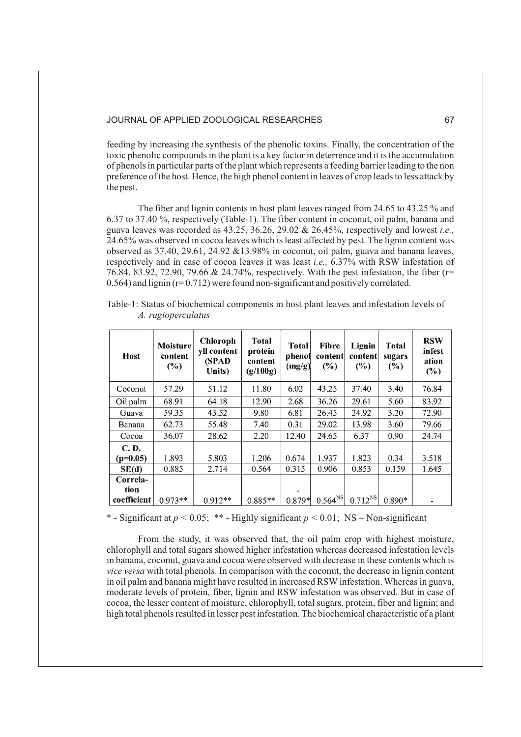feeding by increasing the synthesis of the phenolic toxins. Finally, the concentration of the toxic phenolic compounds in the plant is a key factor in deterrence and it is the accumulation of phenols in particular parts of the plant which represents a feeding barrier leading to the non preference of the host. Hence, the high phenol content in leaves of crop leads to less attack by the pest.

The fiber and lignin contents in host plant leaves ranged from 24.65 to 43.25 % and 6.37 to 37.40 %, respectively (Table-1). The fiber content in coconut, oil palm, banana and guava leaves was recorded as 43.25, 36.26, 29.02 & 26.45%, respectively and lowest *i.e.,* 24.65% was observed in cocoa leaves which is least affected by pest. The lignin content was observed as  $37.40$ ,  $29.61$ ,  $24.92 \& 13.98\%$  in coconut, oil palm, guava and banana leaves, respectively and in case of cocoa leaves it was least *i.e.*, 6.37% with RSW infestation of 76.84, 83.92, 72.90, 79.66 & 24.74%, respectively. With the pest infestation, the fiber (r= 0.564) and lignin (r= 0.712) were found non-significant and positively correlated.

| <b>Host</b>      | Moisture<br>content<br>$(\%)$ | Chloroph<br>yll content<br>(SPAD<br>Units) | <b>Total</b><br>protein<br>content<br>(g/100g) | <b>Total</b><br>phenol<br>(mg/g) | <b>Fibre</b><br>content<br>$(\%)$ | Lignin<br>content<br>$\frac{6}{2}$ | <b>Total</b><br>sugars<br>$(\%)$ | <b>RSW</b><br>infest<br>ation<br>$(\%)$ |
|------------------|-------------------------------|--------------------------------------------|------------------------------------------------|----------------------------------|-----------------------------------|------------------------------------|----------------------------------|-----------------------------------------|
| Coconut          | 57.29                         | 51.12                                      | 11.80                                          | 6.02                             | 43.25                             | 37.40                              | 3.40                             | 76.84                                   |
| Oil palm         | 68.91                         | 64.18                                      | 12.90                                          | 2.68                             | 36.26                             | 29.61                              | 5.60                             | 83.92                                   |
| Guava            | 59.35                         | 43.52                                      | 9.80                                           | 6.81                             | 26.45                             | 24.92                              | 3.20                             | 72.90                                   |
| Banana           | 62.73                         | 55.48                                      | 7.40                                           | 0.31                             | 29.02                             | 13.98                              | 3.60                             | 79.66                                   |
| Cocoa            | 36.07                         | 28.62                                      | 2.20                                           | 12.40                            | 24.65                             | 6.37                               | 0.90                             | 24.74                                   |
| <b>C.D.</b>      |                               |                                            |                                                |                                  |                                   |                                    |                                  |                                         |
| $(p=0.05)$       | 1.893                         | 5.803                                      | 1.206                                          | 0.674                            | 1.937                             | 1.823                              | 0.34                             | 3.518                                   |
| SE(d)            | 0.885                         | 2.714                                      | 0.564                                          | 0.315                            | 0.906                             | 0.853                              | 0.159                            | 1.645                                   |
| Correla-<br>tion |                               |                                            |                                                |                                  |                                   |                                    |                                  |                                         |
| coefficient      | $0.973**$                     | $0.912**$                                  | $0.885**$                                      | 0.879*                           | $0.564^{NS}$                      | $0.712^{NS}$                       | $0.890*$                         |                                         |

Table-1: Status of biochemical components in host plant leaves and infestation levels of *A. rugioperculatus*

\* - Significant at  $p < 0.05$ ; \*\* - Highly significant  $p < 0.01$ ; NS – Non-significant

From the study, it was observed that, the oil palm crop with highest moisture, chlorophyll and total sugars showed higher infestation whereas decreased infestation levels in banana, coconut, guava and cocoa were observed with decrease in these contents which is vice versa with total phenols. In comparison with the coconut, the decrease in lignin content in oil palm and banana might have resulted in increased RSW infestation. Whereas in guava, moderate levels of protein, fiber, lignin and RSW infestation was observed. But in case of cocoa, the lesser content of moisture, chlorophyll, total sugars, protein, fiber and lignin; and high total phenols resulted in lesser pest infestation. The biochemical characteristic of a plant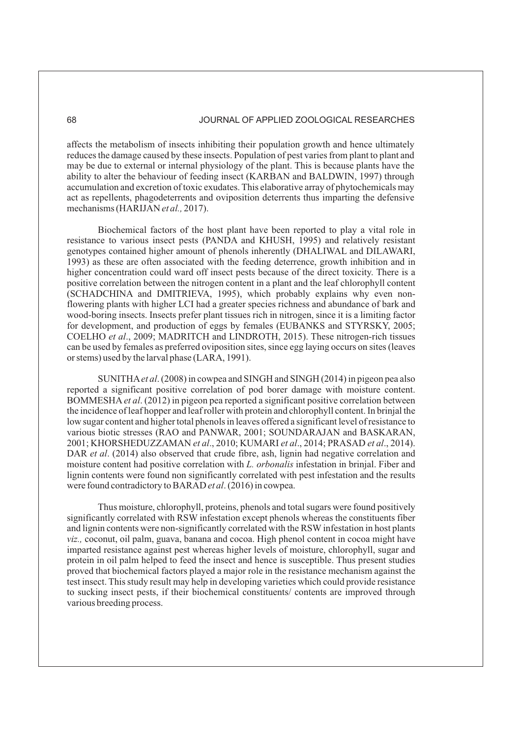affects the metabolism of insects inhibiting their population growth and hence ultimately reduces the damage caused by these insects. Population of pest varies from plant to plant and may be due to external or internal physiology of the plant. This is because plants have the ability to alter the behaviour of feeding insect (KARBAN and BALDWIN, 1997) through accumulation and excretion of toxic exudates. This elaborative array of phytochemicals may act as repellents, phagodeterrents and oviposition deterrents thus imparting the defensive mechanisms (HARIJAN et al., 2017).

Biochemical factors of the host plant have been reported to play a vital role in resistance to various insect pests (PANDA and KHUSH, 1995) and relatively resistant genotypes contained higher amount of phenols inherently (DHALIWAL and DILAWARI, 1993) as these are often associated with the feeding deterrence, growth inhibition and in higher concentration could ward off insect pests because of the direct toxicity. There is a positive correlation between the nitrogen content in a plant and the leaf chlorophyll content (SCHADCHINA and DMITRIEVA, 1995), which probably explains why even nonflowering plants with higher LCI had a greater species richness and abundance of bark and wood-boring insects. Insects prefer plant tissues rich in nitrogen, since it is a limiting factor for development, and production of eggs by females (EUBANKS and STYRSKY, 2005; COELHO et al., 2009; MADRITCH and LINDROTH, 2015). These nitrogen-rich tissues can be used by females as preferred oviposition sites, since egg laying occurs on sites (leaves or stems) used by the larval phase (LARA, 1991).

SUNITHA et al. (2008) in cowpea and SINGH and SINGH (2014) in pigeon pea also reported a significant positive correlation of pod borer damage with moisture content. BOMMESHA et al. (2012) in pigeon pea reported a significant positive correlation between the incidence of leaf hopper and leaf roller with protein and chlorophyll content. In brinjal the low sugar content and higher total phenols in leaves offered a significant level of resistance to various biotic stresses (RAO and PANWAR, 2001; SOUNDARAJAN and BASKARAN, 2001; KHORSHEDUZZAMAN et al., 2010; KUMARI et al., 2014; PRASAD et al., 2014). DAR et al. (2014) also observed that crude fibre, ash, lignin had negative correlation and moisture content had positive correlation with *L. orbonalis* infestation in brinjal. Fiber and lignin contents were found non significantly correlated with pest infestation and the results were found contradictory to BARAD et al. (2016) in cowpea.

Thus moisture, chlorophyll, proteins, phenols and total sugars were found positively significantly correlated with RSW infestation except phenols whereas the constituents fiber and lignin contents were non-significantly correlated with the RSW infestation in host plants viz., coconut, oil palm, guava, banana and cocoa. High phenol content in cocoa might have imparted resistance against pest whereas higher levels of moisture, chlorophyll, sugar and protein in oil palm helped to feed the insect and hence is susceptible. Thus present studies proved that biochemical factors played a major role in the resistance mechanism against the test insect. This study result may help in developing varieties which could provide resistance to sucking insect pests, if their biochemical constituents/ contents are improved through various breeding process.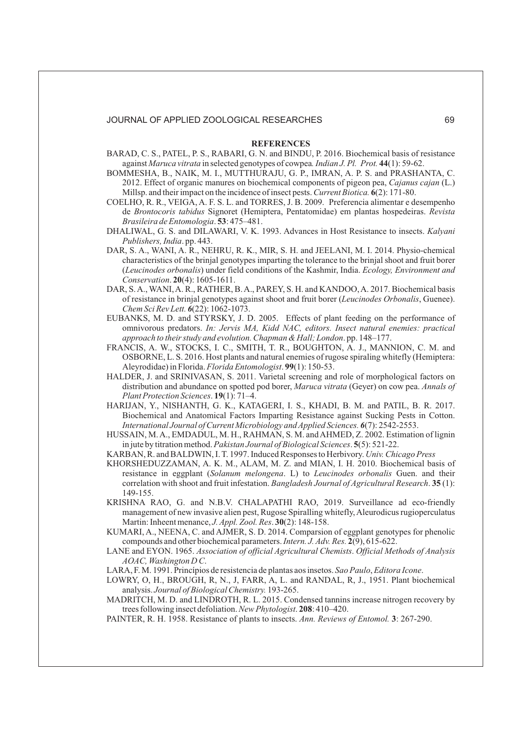#### **REFERENCES**

- against Maruca vitrata in selected genotypes of cowpea. Indian J. Pl. Prot. 44(1): 59-62. BARAD, C. S., PATEL, P. S., RABARI, G. N. and BINDU, P. 2016. Biochemical basis of resistance
- Millsp. and their impact on the incidence of insect pests. Current Biotica. 6(2): 171-80. BOMMESHA, B., NAIK, M. I., MUTTHURAJU, G. P., IMRAN, A. P. S. and PRASHANTA, C. 2012. Effect of organic manures on biochemical components of pigeon pea, Cajanus cajan (L.)
- Brasileira de Entomologia. 53: 475-481. COELHO, R. R., VEIGA, A. F. S. L. and TORRES, J. B. 2009. Preferencia alimentar e desempenho de Signoret (Hemiptera, Pentatomidae) em plantas hospedeiras. *Brontocoris tabidus Revista*
- DHALIWAL, G. S. and DILAWARI, V. K. 1993. Advances in Host Resistance to insects. *Kalyani* Publishers, India. pp. 443.
- Conservation. 20(4): 1605-1611. DAR, S. A., WANI, A. R., NEHRU, R. K., MIR, S. H. and JEELANI, M. I. 2014. Physio-chemical characteristics of the brinjal genotypes imparting the tolerance to the brinjal shoot and fruit borer (Leucinodes orbonalis) under field conditions of the Kashmir, India. Ecology, Environment and
- DAR, S.A., WANI,A. R., RATHER, B.A., PAREY, S. H. and KANDOO, A. 2017. Biochemical basis of resistance in brinjal genotypes against shoot and fruit borer (Leucinodes Orbonalis, Guenee). (22): 1062-1073. *Chem Sci Rev Lett. 6*
- EUBANKS, M. D. and STYRSKY, J. D. 2005. Effects of plant feeding on the performance of omnivorous predators. *In: Jervis MA, Kidd NAC, editors. Insect natural enemies: practical* approach to their study and evolution. Chapman & Hall; London. pp. 148–177.
- Aleyrodidae) in Florida. Florida Entomologist. 99(1): 150-53. FRANCIS, A. W., STOCKS, I. C., SMITH, T. R., BOUGHTON, A. J., MANNION, C. M. and OSBORNE, L. S. 2016. Host plants and natural enemies of rugose spiraling whitefly (Hemiptera:
- Plant Protection Sciences. 19(1): 71-4. HALDER, J. and SRINIVASAN, S. 2011. Varietal screening and role of morphological factors on distribution and abundance on spotted pod borer, Maruca vitrata (Geyer) on cow pea. Annals of
- HARIJAN, Y., NISHANTH, G. K., KATAGERI, I. S., KHADI, B. M. and PATIL, B. R. 2017. Biochemical and Anatomical Factors Imparting Resistance against Sucking Pests in Cotton. (7): 2542-2553. *International Journal of Current Microbiology and Applied Sciences. 6*
- in jute by titration method. Pakistan Journal of Biological Sciences. 5(5): 521-22. HUSSAIN, M. A., EMDADUL, M. H., RAHMAN, S. M. and AHMED, Z. 2002. Estimation of lignin
- KARBAN, R. and BALDWIN, I. T. 1997. Induced Responses to Herbivory. *Univ. Chicago Press*
- correlation with shoot and fruit infestation. *Bangladesh Journal of Agricultural Research*. 35(1): KHORSHEDUZZAMAN, A. K. M., ALAM, M. Z. and MIAN, I. H. 2010. Biochemical basis of resistance in eggplant (Solanum melongena. L) to Leucinodes orbonalis Guen. and their 149-155.
- Martin: Inheent menance, *J. Appl. Zool. Res.* **30**(2): 148-158. KRISHNA RAO, G. and N.B.V. CHALAPATHI RAO, 2019. Surveillance ad eco-friendly management of new invasive alien pest, Rugose Spiralling whitefly,Aleurodicus rugioperculatus
- compounds and other biochemical parameters. Intern. J. Adv. Res. 2(9), 615-622. KUMARI, A., NEENA, C. and AJMER, S. D. 2014. Comparsion of eggplant genotypes for phenolic
- LANE and EYON. 1965. Association of official Agricultural Chemists. Official Methods of Analysis . *AOAC, Washington D C*
- LARA, F. M. 1991. Princípios de resistencia de plantas aos insetos. Sao Paulo, Editora Icone.
- LOWRY, O, H., BROUGH, R, N., J, FARR, A, L. and RANDAL, R, J., 1951. Plant biochemical analysis. Journal of Biological Chemistry. 193-265.
- trees following insect defoliation. New Phytologist. 208: 410-420. MADRITCH, M. D. and LINDROTH, R. L. 2015. Condensed tannins increase nitrogen recovery by
- PAINTER, R. H. 1958. Resistance of plants to insects. Ann. Reviews of Entomol. 3: 267-290.